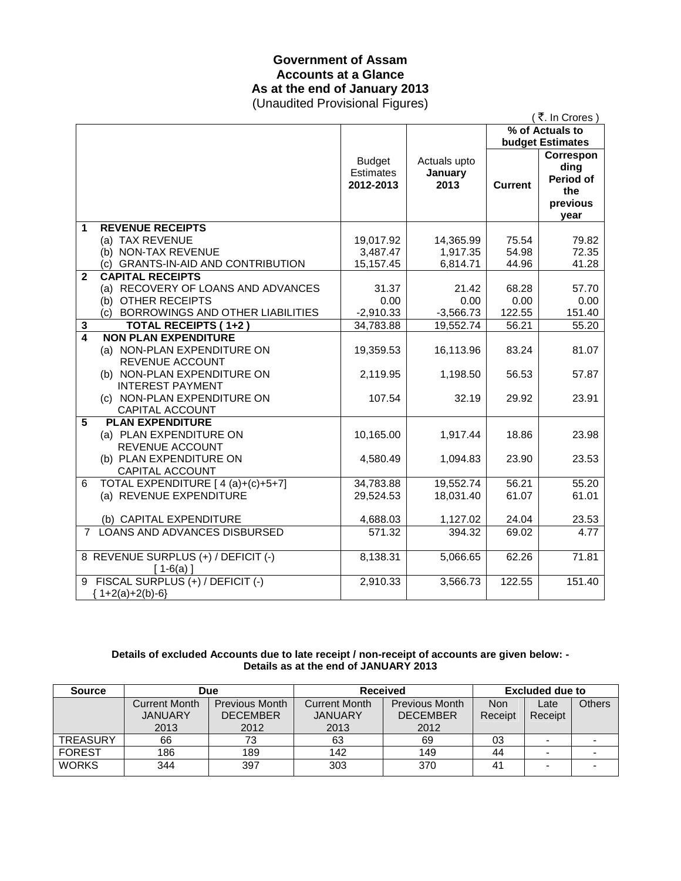## **Government of Assam Accounts at a Glance As at the end of January 2013**  (Unaudited Provisional Figures)

|                |                                      |                                                |                                 |                | (₹. In Crores)                                            |
|----------------|--------------------------------------|------------------------------------------------|---------------------------------|----------------|-----------------------------------------------------------|
|                |                                      |                                                |                                 |                | % of Actuals to                                           |
|                |                                      |                                                |                                 |                | <b>budget Estimates</b>                                   |
|                |                                      | <b>Budget</b><br><b>Estimates</b><br>2012-2013 | Actuals upto<br>January<br>2013 | <b>Current</b> | Correspon<br>ding<br>Period of<br>the<br>previous<br>vear |
| 1              | <b>REVENUE RECEIPTS</b>              |                                                |                                 |                |                                                           |
|                | (a) TAX REVENUE                      | 19,017.92                                      | 14,365.99                       | 75.54          | 79.82                                                     |
|                | (b) NON-TAX REVENUE                  | 3,487.47                                       | 1,917.35                        | 54.98          | 72.35                                                     |
|                | (c) GRANTS-IN-AID AND CONTRIBUTION   | 15,157.45                                      | 6,814.71                        | 44.96          | 41.28                                                     |
| $\mathbf{2}$   | <b>CAPITAL RECEIPTS</b>              |                                                |                                 |                |                                                           |
|                | (a) RECOVERY OF LOANS AND ADVANCES   | 31.37                                          | 21.42                           | 68.28          | 57.70                                                     |
|                | (b) OTHER RECEIPTS                   | 0.00                                           | 0.00                            | 0.00           | 0.00                                                      |
|                | (c) BORROWINGS AND OTHER LIABILITIES | $-2,910.33$                                    | $-3,566.73$                     | 122.55         | 151.40                                                    |
| 3              | <b>TOTAL RECEIPTS (1+2)</b>          | 34,783.88                                      | 19,552.74                       | 56.21          | 55.20                                                     |
| 4              | <b>NON PLAN EXPENDITURE</b>          |                                                |                                 |                |                                                           |
|                | (a) NON-PLAN EXPENDITURE ON          | 19,359.53                                      | 16,113.96                       | 83.24          | 81.07                                                     |
|                | REVENUE ACCOUNT                      |                                                |                                 |                |                                                           |
|                | (b) NON-PLAN EXPENDITURE ON          | 2,119.95                                       | 1,198.50                        | 56.53          | 57.87                                                     |
|                | <b>INTEREST PAYMENT</b>              |                                                |                                 |                |                                                           |
|                | (c) NON-PLAN EXPENDITURE ON          | 107.54                                         | 32.19                           | 29.92          | 23.91                                                     |
|                | CAPITAL ACCOUNT                      |                                                |                                 |                |                                                           |
| 5              | <b>PLAN EXPENDITURE</b>              |                                                |                                 |                |                                                           |
|                | (a) PLAN EXPENDITURE ON              | 10,165.00                                      | 1,917.44                        | 18.86          | 23.98                                                     |
|                | REVENUE ACCOUNT                      |                                                |                                 |                |                                                           |
|                | (b) PLAN EXPENDITURE ON              | 4,580.49                                       | 1,094.83                        | 23.90          | 23.53                                                     |
|                | CAPITAL ACCOUNT                      |                                                |                                 |                |                                                           |
| 6              | TOTAL EXPENDITURE [ 4 (a)+(c)+5+7]   | 34,783.88                                      | 19,552.74                       | 56.21          | 55.20                                                     |
|                | (a) REVENUE EXPENDITURE              | 29,524.53                                      | 18,031.40                       | 61.07          | 61.01                                                     |
|                | (b) CAPITAL EXPENDITURE              | 4,688.03                                       | 1,127.02                        | 24.04          | 23.53                                                     |
| $\overline{7}$ | <b>LOANS AND ADVANCES DISBURSED</b>  | 571.32                                         | 394.32                          | 69.02          |                                                           |
|                |                                      |                                                |                                 |                | 4.77                                                      |
|                | 8 REVENUE SURPLUS (+) / DEFICIT (-)  | 8,138.31                                       | 5,066.65                        | 62.26          | 71.81                                                     |
|                | $[1-6(a)]$                           |                                                |                                 |                |                                                           |
| 9              | FISCAL SURPLUS (+) / DEFICIT (-)     | 2,910.33                                       | 3,566.73                        | 122.55         | 151.40                                                    |
|                | $1+2(a)+2(b)-6$                      |                                                |                                 |                |                                                           |
|                |                                      |                                                |                                 |                |                                                           |

### **Details of excluded Accounts due to late receipt / non-receipt of accounts are given below: - Details as at the end of JANUARY 2013**

| <b>Source</b>   | Due                  |                       | <b>Received</b>      |                       | Excluded due to |                          |               |
|-----------------|----------------------|-----------------------|----------------------|-----------------------|-----------------|--------------------------|---------------|
|                 | <b>Current Month</b> | <b>Previous Month</b> | <b>Current Month</b> | <b>Previous Month</b> | <b>Non</b>      | Late                     | <b>Others</b> |
|                 | <b>JANUARY</b>       | <b>DECEMBER</b>       | <b>JANUARY</b>       | <b>DECEMBER</b>       | Receipt         | Receipt                  |               |
|                 | 2013                 | 2012                  | 2013                 | 2012                  |                 |                          |               |
| <b>TREASURY</b> | 66                   | 73                    | 63                   | 69                    | 03              | $\overline{\phantom{a}}$ |               |
| <b>FOREST</b>   | 186                  | 189                   | 142                  | 149                   | 44              | -                        |               |
| <b>WORKS</b>    | 344                  | 397                   | 303                  | 370                   | 41              |                          |               |
|                 |                      |                       |                      |                       |                 |                          |               |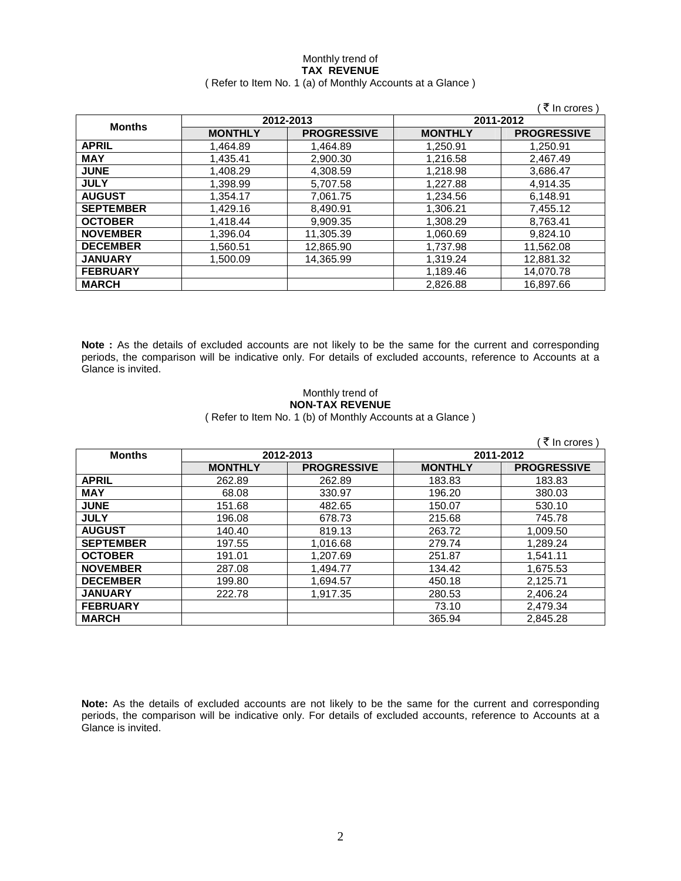### Monthly trend of **TAX REVENUE**  ( Refer to Item No. 1 (a) of Monthly Accounts at a Glance )

|                  |                |                    |                | ₹ In crores)       |
|------------------|----------------|--------------------|----------------|--------------------|
|                  |                | 2012-2013          |                | 2011-2012          |
| <b>Months</b>    | <b>MONTHLY</b> | <b>PROGRESSIVE</b> | <b>MONTHLY</b> | <b>PROGRESSIVE</b> |
| <b>APRIL</b>     | 1,464.89       | 1.464.89           | 1,250.91       | 1.250.91           |
| <b>MAY</b>       | 1,435.41       | 2,900.30           | 1,216.58       | 2,467.49           |
| <b>JUNE</b>      | 1,408.29       | 4,308.59           | 1,218.98       | 3,686.47           |
| <b>JULY</b>      | 1,398.99       | 5,707.58           | 1.227.88       | 4,914.35           |
| <b>AUGUST</b>    | 1.354.17       | 7,061.75           | 1,234.56       | 6,148.91           |
| <b>SEPTEMBER</b> | 1.429.16       | 8,490.91           | 1,306.21       | 7,455.12           |
| <b>OCTOBER</b>   | 1.418.44       | 9.909.35           | 1,308.29       | 8.763.41           |
| <b>NOVEMBER</b>  | 1,396.04       | 11,305.39          | 1,060.69       | 9,824.10           |
| <b>DECEMBER</b>  | 1,560.51       | 12,865.90          | 1,737.98       | 11,562.08          |
| <b>JANUARY</b>   | 1.500.09       | 14.365.99          | 1,319.24       | 12,881.32          |
| <b>FEBRUARY</b>  |                |                    | 1,189.46       | 14,070.78          |
| <b>MARCH</b>     |                |                    | 2,826.88       | 16,897.66          |

**Note :** As the details of excluded accounts are not likely to be the same for the current and corresponding periods, the comparison will be indicative only. For details of excluded accounts, reference to Accounts at a Glance is invited.

## Monthly trend of **NON-TAX REVENUE**

( Refer to Item No. 1 (b) of Monthly Accounts at a Glance )

|                  |                |                    |                | ₹ In crores        |
|------------------|----------------|--------------------|----------------|--------------------|
| <b>Months</b>    |                | 2012-2013          | 2011-2012      |                    |
|                  | <b>MONTHLY</b> | <b>PROGRESSIVE</b> | <b>MONTHLY</b> | <b>PROGRESSIVE</b> |
| <b>APRIL</b>     | 262.89         | 262.89             | 183.83         | 183.83             |
| <b>MAY</b>       | 68.08          | 330.97             | 196.20         | 380.03             |
| <b>JUNE</b>      | 151.68         | 482.65             | 150.07         | 530.10             |
| <b>JULY</b>      | 196.08         | 678.73             | 215.68         | 745.78             |
| <b>AUGUST</b>    | 140.40         | 819.13             | 263.72         | 1.009.50           |
| <b>SEPTEMBER</b> | 197.55         | 1,016.68           | 279.74         | 1,289.24           |
| <b>OCTOBER</b>   | 191.01         | 1,207.69           | 251.87         | 1,541.11           |
| <b>NOVEMBER</b>  | 287.08         | 1,494.77           | 134.42         | 1,675.53           |
| <b>DECEMBER</b>  | 199.80         | 1,694.57           | 450.18         | 2,125.71           |
| <b>JANUARY</b>   | 222.78         | 1,917.35           | 280.53         | 2,406.24           |
| <b>FEBRUARY</b>  |                |                    | 73.10          | 2,479.34           |
| <b>MARCH</b>     |                |                    | 365.94         | 2,845.28           |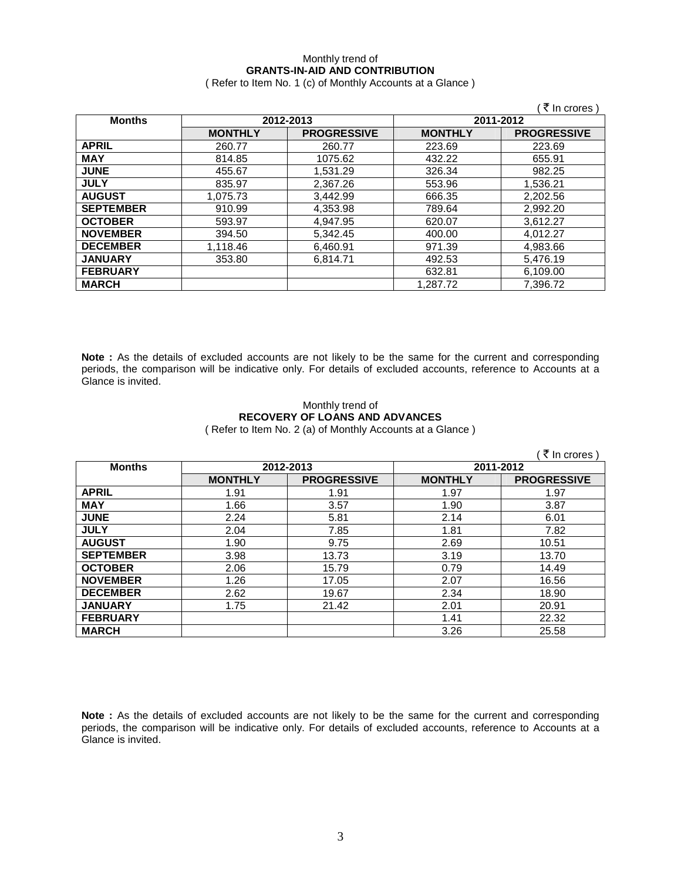## Monthly trend of **GRANTS-IN-AID AND CONTRIBUTION**

( Refer to Item No. 1 (c) of Monthly Accounts at a Glance )

|                  |                |                    |                | ₹ In crores)       |
|------------------|----------------|--------------------|----------------|--------------------|
| <b>Months</b>    |                | 2012-2013          |                | 2011-2012          |
|                  | <b>MONTHLY</b> | <b>PROGRESSIVE</b> | <b>MONTHLY</b> | <b>PROGRESSIVE</b> |
| <b>APRIL</b>     | 260.77         | 260.77             | 223.69         | 223.69             |
| <b>MAY</b>       | 814.85         | 1075.62            | 432.22         | 655.91             |
| <b>JUNE</b>      | 455.67         | 1.531.29           | 326.34         | 982.25             |
| <b>JULY</b>      | 835.97         | 2,367.26           | 553.96         | 1,536.21           |
| <b>AUGUST</b>    | 1,075.73       | 3.442.99           | 666.35         | 2,202.56           |
| <b>SEPTEMBER</b> | 910.99         | 4,353.98           | 789.64         | 2,992.20           |
| <b>OCTOBER</b>   | 593.97         | 4.947.95           | 620.07         | 3,612.27           |
| <b>NOVEMBER</b>  | 394.50         | 5,342.45           | 400.00         | 4.012.27           |
| <b>DECEMBER</b>  | 1,118.46       | 6,460.91           | 971.39         | 4,983.66           |
| <b>JANUARY</b>   | 353.80         | 6.814.71           | 492.53         | 5,476.19           |
| <b>FEBRUARY</b>  |                |                    | 632.81         | 6,109.00           |
| <b>MARCH</b>     |                |                    | 1,287.72       | 7,396.72           |

**Note :** As the details of excluded accounts are not likely to be the same for the current and corresponding periods, the comparison will be indicative only. For details of excluded accounts, reference to Accounts at a Glance is invited.

### Monthly trend of **RECOVERY OF LOANS AND ADVANCES**  ( Refer to Item No. 2 (a) of Monthly Accounts at a Glance )

|                  |                |                    |                | ₹ In crores        |
|------------------|----------------|--------------------|----------------|--------------------|
| <b>Months</b>    | 2012-2013      |                    | 2011-2012      |                    |
|                  | <b>MONTHLY</b> | <b>PROGRESSIVE</b> | <b>MONTHLY</b> | <b>PROGRESSIVE</b> |
| <b>APRIL</b>     | 1.91           | 1.91               | 1.97           | 1.97               |
| <b>MAY</b>       | 1.66           | 3.57               | 1.90           | 3.87               |
| <b>JUNE</b>      | 2.24           | 5.81               | 2.14           | 6.01               |
| <b>JULY</b>      | 2.04           | 7.85               | 1.81           | 7.82               |
| <b>AUGUST</b>    | 1.90           | 9.75               | 2.69           | 10.51              |
| <b>SEPTEMBER</b> | 3.98           | 13.73              | 3.19           | 13.70              |
| <b>OCTOBER</b>   | 2.06           | 15.79              | 0.79           | 14.49              |
| <b>NOVEMBER</b>  | 1.26           | 17.05              | 2.07           | 16.56              |
| <b>DECEMBER</b>  | 2.62           | 19.67              | 2.34           | 18.90              |
| <b>JANUARY</b>   | 1.75           | 21.42              | 2.01           | 20.91              |
| <b>FEBRUARY</b>  |                |                    | 1.41           | 22.32              |
| <b>MARCH</b>     |                |                    | 3.26           | 25.58              |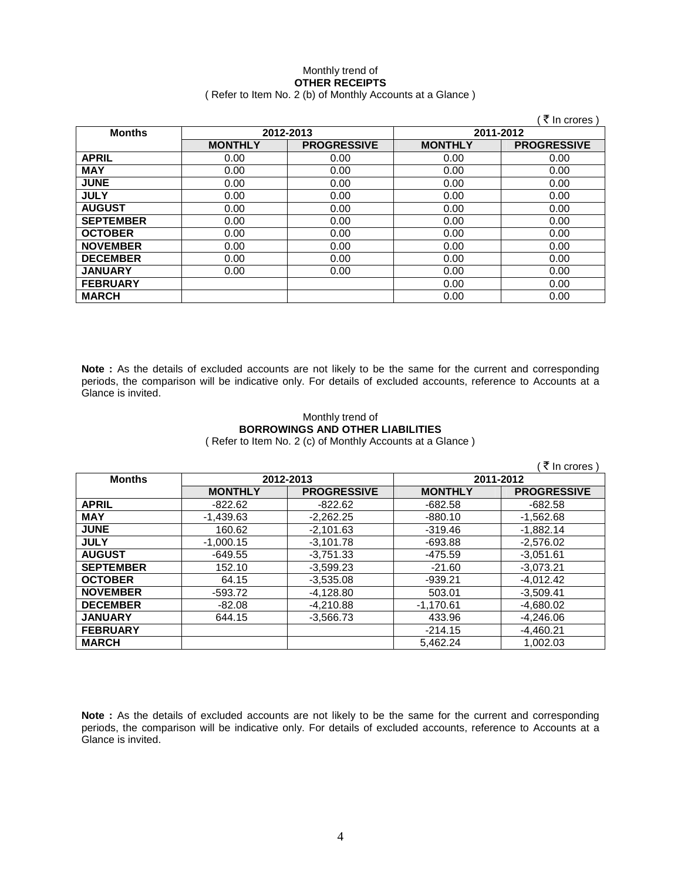### Monthly trend of **OTHER RECEIPTS**  ( Refer to Item No. 2 (b) of Monthly Accounts at a Glance )

|                  |                |                    |                | ₹ In crores)       |
|------------------|----------------|--------------------|----------------|--------------------|
| <b>Months</b>    | 2012-2013      |                    | 2011-2012      |                    |
|                  | <b>MONTHLY</b> | <b>PROGRESSIVE</b> | <b>MONTHLY</b> | <b>PROGRESSIVE</b> |
| <b>APRIL</b>     | 0.00           | 0.00               | 0.00           | 0.00               |
| <b>MAY</b>       | 0.00           | 0.00               | 0.00           | 0.00               |
| <b>JUNE</b>      | 0.00           | 0.00               | 0.00           | 0.00               |
| <b>JULY</b>      | 0.00           | 0.00               | 0.00           | 0.00               |
| <b>AUGUST</b>    | 0.00           | 0.00               | 0.00           | 0.00               |
| <b>SEPTEMBER</b> | 0.00           | 0.00               | 0.00           | 0.00               |
| <b>OCTOBER</b>   | 0.00           | 0.00               | 0.00           | 0.00               |
| <b>NOVEMBER</b>  | 0.00           | 0.00               | 0.00           | 0.00               |
| <b>DECEMBER</b>  | 0.00           | 0.00               | 0.00           | 0.00               |
| <b>JANUARY</b>   | 0.00           | 0.00               | 0.00           | 0.00               |
| <b>FEBRUARY</b>  |                |                    | 0.00           | 0.00               |
| <b>MARCH</b>     |                |                    | 0.00           | 0.00               |

**Note :** As the details of excluded accounts are not likely to be the same for the current and corresponding periods, the comparison will be indicative only. For details of excluded accounts, reference to Accounts at a Glance is invited.

### Monthly trend of **BORROWINGS AND OTHER LIABILITIES**  ( Refer to Item No. 2 (c) of Monthly Accounts at a Glance )

|                  |                |                    |                | ₹ In crores )      |
|------------------|----------------|--------------------|----------------|--------------------|
| <b>Months</b>    | 2012-2013      |                    | 2011-2012      |                    |
|                  | <b>MONTHLY</b> | <b>PROGRESSIVE</b> | <b>MONTHLY</b> | <b>PROGRESSIVE</b> |
| <b>APRIL</b>     | $-822.62$      | $-822.62$          | $-682.58$      | $-682.58$          |
| <b>MAY</b>       | $-1.439.63$    | $-2.262.25$        | $-880.10$      | $-1,562.68$        |
| <b>JUNE</b>      | 160.62         | $-2.101.63$        | $-319.46$      | $-1.882.14$        |
| <b>JULY</b>      | $-1.000.15$    | $-3.101.78$        | $-693.88$      | $-2.576.02$        |
| <b>AUGUST</b>    | $-649.55$      | $-3.751.33$        | -475.59        | $-3.051.61$        |
| <b>SEPTEMBER</b> | 152.10         | $-3,599.23$        | $-21.60$       | $-3,073.21$        |
| <b>OCTOBER</b>   | 64.15          | $-3,535.08$        | $-939.21$      | $-4,012.42$        |
| <b>NOVEMBER</b>  | $-593.72$      | $-4,128.80$        | 503.01         | $-3,509.41$        |
| <b>DECEMBER</b>  | $-82.08$       | $-4,210.88$        | $-1,170.61$    | $-4,680.02$        |
| <b>JANUARY</b>   | 644.15         | $-3.566.73$        | 433.96         | $-4.246.06$        |
| <b>FEBRUARY</b>  |                |                    | $-214.15$      | $-4,460.21$        |
| <b>MARCH</b>     |                |                    | 5.462.24       | 1.002.03           |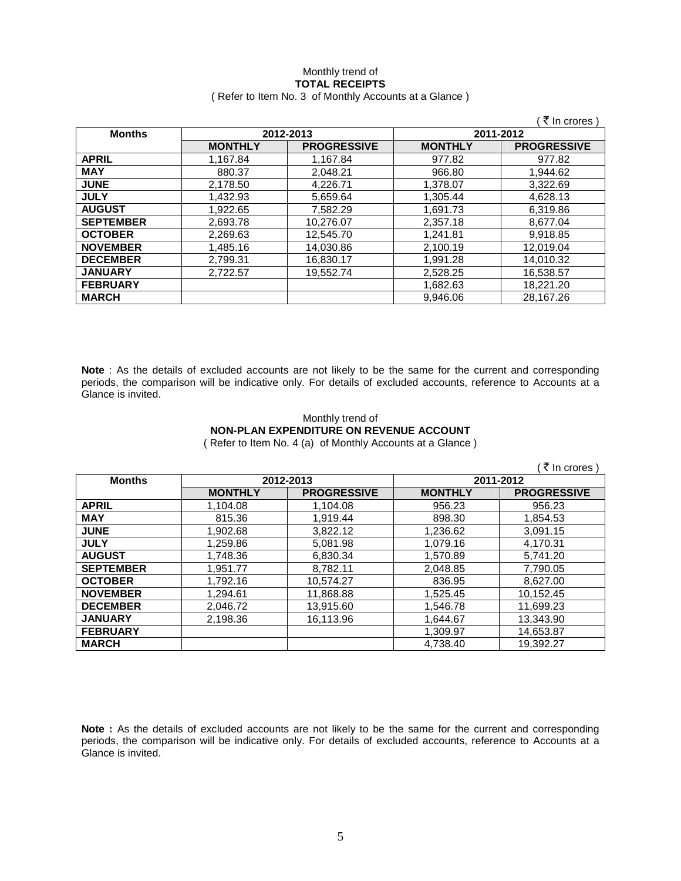### Monthly trend of **TOTAL RECEIPTS**  ( Refer to Item No. 3 of Monthly Accounts at a Glance )

|                  |                |                    |                | (₹ In crores)      |
|------------------|----------------|--------------------|----------------|--------------------|
| <b>Months</b>    |                | 2012-2013          | 2011-2012      |                    |
|                  | <b>MONTHLY</b> | <b>PROGRESSIVE</b> | <b>MONTHLY</b> | <b>PROGRESSIVE</b> |
| <b>APRIL</b>     | 1.167.84       | 1.167.84           | 977.82         | 977.82             |
| <b>MAY</b>       | 880.37         | 2,048.21           | 966.80         | 1,944.62           |
| <b>JUNE</b>      | 2,178.50       | 4,226.71           | 1,378.07       | 3,322.69           |
| <b>JULY</b>      | 1,432.93       | 5,659.64           | 1.305.44       | 4,628.13           |
| <b>AUGUST</b>    | 1.922.65       | 7.582.29           | 1.691.73       | 6,319.86           |
| <b>SEPTEMBER</b> | 2,693.78       | 10,276.07          | 2,357.18       | 8,677.04           |
| <b>OCTOBER</b>   | 2,269.63       | 12.545.70          | 1.241.81       | 9,918.85           |
| <b>NOVEMBER</b>  | 1,485.16       | 14,030.86          | 2,100.19       | 12.019.04          |
| <b>DECEMBER</b>  | 2.799.31       | 16.830.17          | 1.991.28       | 14.010.32          |
| <b>JANUARY</b>   | 2.722.57       | 19.552.74          | 2.528.25       | 16,538.57          |
| <b>FEBRUARY</b>  |                |                    | 1,682.63       | 18,221.20          |
| <b>MARCH</b>     |                |                    | 9.946.06       | 28.167.26          |

**Note** : As the details of excluded accounts are not likely to be the same for the current and corresponding periods, the comparison will be indicative only. For details of excluded accounts, reference to Accounts at a Glance is invited.

### Monthly trend of **NON-PLAN EXPENDITURE ON REVENUE ACCOUNT**  ( Refer to Item No. 4 (a) of Monthly Accounts at a Glance )

| ₹ In crores)     |                |                    |                |                    |  |
|------------------|----------------|--------------------|----------------|--------------------|--|
| <b>Months</b>    | 2012-2013      |                    | 2011-2012      |                    |  |
|                  | <b>MONTHLY</b> | <b>PROGRESSIVE</b> | <b>MONTHLY</b> | <b>PROGRESSIVE</b> |  |
| <b>APRIL</b>     | 1,104.08       | 1,104.08           | 956.23         | 956.23             |  |
| <b>MAY</b>       | 815.36         | 1,919.44           | 898.30         | 1,854.53           |  |
| <b>JUNE</b>      | 1,902.68       | 3,822.12           | 1,236.62       | 3,091.15           |  |
| <b>JULY</b>      | 1,259.86       | 5,081.98           | 1,079.16       | 4,170.31           |  |
| <b>AUGUST</b>    | 1,748.36       | 6,830.34           | 1,570.89       | 5,741.20           |  |
| <b>SEPTEMBER</b> | 1.951.77       | 8,782.11           | 2,048.85       | 7,790.05           |  |
| <b>OCTOBER</b>   | 1.792.16       | 10.574.27          | 836.95         | 8.627.00           |  |
| <b>NOVEMBER</b>  | 1.294.61       | 11,868.88          | 1,525.45       | 10.152.45          |  |
| <b>DECEMBER</b>  | 2,046.72       | 13,915.60          | 1,546.78       | 11,699.23          |  |
| <b>JANUARY</b>   | 2,198.36       | 16,113.96          | 1,644.67       | 13,343.90          |  |
| <b>FEBRUARY</b>  |                |                    | 1.309.97       | 14,653.87          |  |
| <b>MARCH</b>     |                |                    | 4.738.40       | 19.392.27          |  |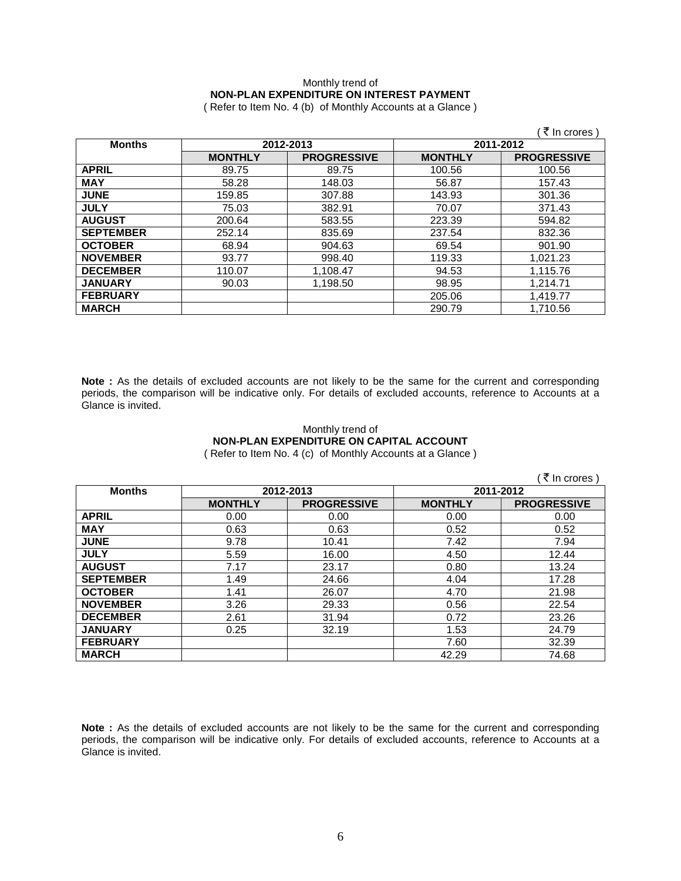# Monthly trend of **NON-PLAN EXPENDITURE ON INTEREST PAYMENT**

( Refer to Item No. 4 (b) of Monthly Accounts at a Glance )

|                  |                |                    |                | ₹ In crores )      |
|------------------|----------------|--------------------|----------------|--------------------|
| <b>Months</b>    |                | 2012-2013          | 2011-2012      |                    |
|                  | <b>MONTHLY</b> | <b>PROGRESSIVE</b> | <b>MONTHLY</b> | <b>PROGRESSIVE</b> |
| <b>APRIL</b>     | 89.75          | 89.75              | 100.56         | 100.56             |
| <b>MAY</b>       | 58.28          | 148.03             | 56.87          | 157.43             |
| <b>JUNE</b>      | 159.85         | 307.88             | 143.93         | 301.36             |
| <b>JULY</b>      | 75.03          | 382.91             | 70.07          | 371.43             |
| <b>AUGUST</b>    | 200.64         | 583.55             | 223.39         | 594.82             |
| <b>SEPTEMBER</b> | 252.14         | 835.69             | 237.54         | 832.36             |
| <b>OCTOBER</b>   | 68.94          | 904.63             | 69.54          | 901.90             |
| <b>NOVEMBER</b>  | 93.77          | 998.40             | 119.33         | 1,021.23           |
| <b>DECEMBER</b>  | 110.07         | 1,108.47           | 94.53          | 1,115.76           |
| <b>JANUARY</b>   | 90.03          | 1,198.50           | 98.95          | 1.214.71           |
| <b>FEBRUARY</b>  |                |                    | 205.06         | 1,419.77           |
| <b>MARCH</b>     |                |                    | 290.79         | 1,710.56           |

**Note :** As the details of excluded accounts are not likely to be the same for the current and corresponding periods, the comparison will be indicative only. For details of excluded accounts, reference to Accounts at a Glance is invited.

## Monthly trend of **NON-PLAN EXPENDITURE ON CAPITAL ACCOUNT**

( Refer to Item No. 4 (c) of Monthly Accounts at a Glance )

|                  |                |                    |                | ₹ In crores)       |
|------------------|----------------|--------------------|----------------|--------------------|
| <b>Months</b>    |                | 2012-2013          | 2011-2012      |                    |
|                  | <b>MONTHLY</b> | <b>PROGRESSIVE</b> | <b>MONTHLY</b> | <b>PROGRESSIVE</b> |
| <b>APRIL</b>     | 0.00           | 0.00               | 0.00           | 0.00               |
| <b>MAY</b>       | 0.63           | 0.63               | 0.52           | 0.52               |
| <b>JUNE</b>      | 9.78           | 10.41              | 7.42           | 7.94               |
| <b>JULY</b>      | 5.59           | 16.00              | 4.50           | 12.44              |
| <b>AUGUST</b>    | 7.17           | 23.17              | 0.80           | 13.24              |
| <b>SEPTEMBER</b> | 1.49           | 24.66              | 4.04           | 17.28              |
| <b>OCTOBER</b>   | 1.41           | 26.07              | 4.70           | 21.98              |
| <b>NOVEMBER</b>  | 3.26           | 29.33              | 0.56           | 22.54              |
| <b>DECEMBER</b>  | 2.61           | 31.94              | 0.72           | 23.26              |
| <b>JANUARY</b>   | 0.25           | 32.19              | 1.53           | 24.79              |
| <b>FEBRUARY</b>  |                |                    | 7.60           | 32.39              |
| <b>MARCH</b>     |                |                    | 42.29          | 74.68              |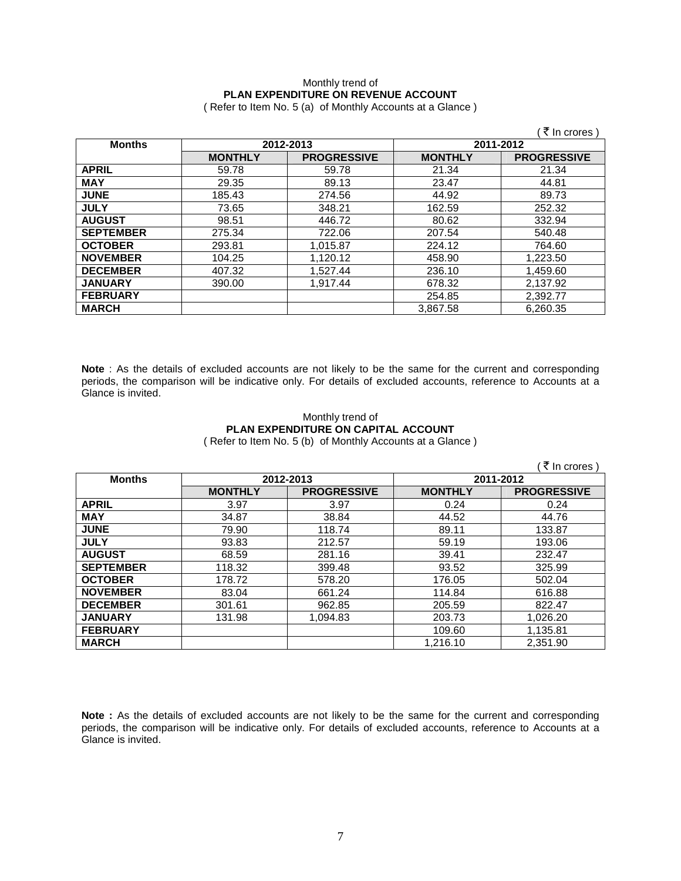# Monthly trend of **PLAN EXPENDITURE ON REVENUE ACCOUNT**

( Refer to Item No. 5 (a) of Monthly Accounts at a Glance )

|                  |                |                    |                | ₹ In crores )      |
|------------------|----------------|--------------------|----------------|--------------------|
| <b>Months</b>    | 2012-2013      |                    | 2011-2012      |                    |
|                  | <b>MONTHLY</b> | <b>PROGRESSIVE</b> | <b>MONTHLY</b> | <b>PROGRESSIVE</b> |
| <b>APRIL</b>     | 59.78          | 59.78              | 21.34          | 21.34              |
| <b>MAY</b>       | 29.35          | 89.13              | 23.47          | 44.81              |
| <b>JUNE</b>      | 185.43         | 274.56             | 44.92          | 89.73              |
| <b>JULY</b>      | 73.65          | 348.21             | 162.59         | 252.32             |
| <b>AUGUST</b>    | 98.51          | 446.72             | 80.62          | 332.94             |
| <b>SEPTEMBER</b> | 275.34         | 722.06             | 207.54         | 540.48             |
| <b>OCTOBER</b>   | 293.81         | 1,015.87           | 224.12         | 764.60             |
| <b>NOVEMBER</b>  | 104.25         | 1,120.12           | 458.90         | 1,223.50           |
| <b>DECEMBER</b>  | 407.32         | 1,527.44           | 236.10         | 1,459.60           |
| <b>JANUARY</b>   | 390.00         | 1.917.44           | 678.32         | 2,137.92           |
| <b>FEBRUARY</b>  |                |                    | 254.85         | 2,392.77           |
| <b>MARCH</b>     |                |                    | 3.867.58       | 6,260.35           |

**Note** : As the details of excluded accounts are not likely to be the same for the current and corresponding periods, the comparison will be indicative only. For details of excluded accounts, reference to Accounts at a Glance is invited.

### Monthly trend of **PLAN EXPENDITURE ON CAPITAL ACCOUNT**  ( Refer to Item No. 5 (b) of Monthly Accounts at a Glance )

 $($   $\bar{z}$  In crores ) **Months 2012-2013 2011-2012 MONTHLY PROGRESSIVE MONTHLY PROGRESSIVE APRIL** 3.97 3.97 0.24 0.24 **MAY** 34.87 38.84 44.52 44.76 **JUNE** 79.90 118.74 89.11 133.87 **JULY** 93.83 212.57 59.19 193.06 **AUGUST** 68.59 281.16 39.41 232.47 **SEPTEMBER** | 118.32 | 399.48 | 93.52 | 325.99 **OCTOBER** | 178.72 | 578.20 | 176.05 | 502.04 **NOVEMBER** | 83.04 | 661.24 | 114.84 | 616.88 **DECEMBER** | 301.61 | 962.85 | 205.59 | 822.47

**JANUARY** | 131.98 | 1,094.83 | 203.73 | 1,026.20 **FEBRUARY** 109.60 1,135.81 **MARCH** 1,216.10 2,351.90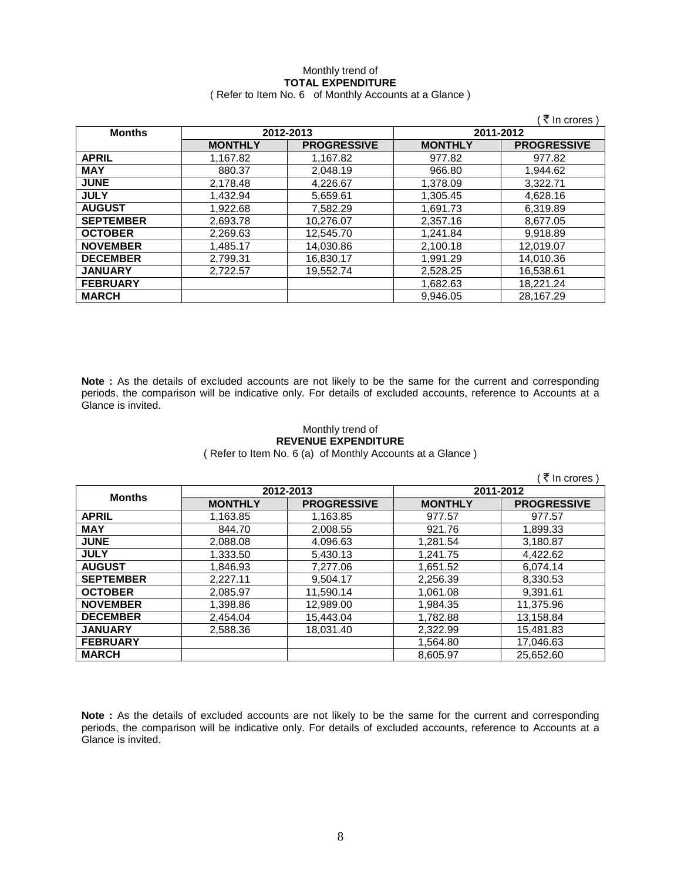### Monthly trend of **TOTAL EXPENDITURE**  ( Refer to Item No. 6 of Monthly Accounts at a Glance )

|                  |                |                    |                | ₹ In crores)       |
|------------------|----------------|--------------------|----------------|--------------------|
| <b>Months</b>    | 2012-2013      |                    | 2011-2012      |                    |
|                  | <b>MONTHLY</b> | <b>PROGRESSIVE</b> | <b>MONTHLY</b> | <b>PROGRESSIVE</b> |
| <b>APRIL</b>     | 1,167.82       | 1.167.82           | 977.82         | 977.82             |
| <b>MAY</b>       | 880.37         | 2,048.19           | 966.80         | 1,944.62           |
| <b>JUNE</b>      | 2,178.48       | 4,226.67           | 1,378.09       | 3.322.71           |
| <b>JULY</b>      | 1.432.94       | 5,659.61           | 1,305.45       | 4,628.16           |
| <b>AUGUST</b>    | 1,922.68       | 7,582.29           | 1,691.73       | 6,319.89           |
| <b>SEPTEMBER</b> | 2,693.78       | 10,276.07          | 2.357.16       | 8.677.05           |
| <b>OCTOBER</b>   | 2,269.63       | 12,545.70          | 1,241.84       | 9.918.89           |
| <b>NOVEMBER</b>  | 1,485.17       | 14,030.86          | 2,100.18       | 12,019.07          |
| <b>DECEMBER</b>  | 2,799.31       | 16,830.17          | 1.991.29       | 14.010.36          |
| <b>JANUARY</b>   | 2.722.57       | 19.552.74          | 2.528.25       | 16.538.61          |
| <b>FEBRUARY</b>  |                |                    | 1,682.63       | 18,221.24          |
| <b>MARCH</b>     |                |                    | 9.946.05       | 28.167.29          |

**Note :** As the details of excluded accounts are not likely to be the same for the current and corresponding periods, the comparison will be indicative only. For details of excluded accounts, reference to Accounts at a Glance is invited.

### Monthly trend of **REVENUE EXPENDITURE**

( Refer to Item No. 6 (a) of Monthly Accounts at a Glance )

|                  |                |                    |                | र In crores \      |
|------------------|----------------|--------------------|----------------|--------------------|
|                  | 2012-2013      |                    | 2011-2012      |                    |
| <b>Months</b>    | <b>MONTHLY</b> | <b>PROGRESSIVE</b> | <b>MONTHLY</b> | <b>PROGRESSIVE</b> |
| <b>APRIL</b>     | 1,163.85       | 1,163.85           | 977.57         | 977.57             |
| <b>MAY</b>       | 844.70         | 2,008.55           | 921.76         | 1,899.33           |
| <b>JUNE</b>      | 2,088.08       | 4,096.63           | 1,281.54       | 3,180.87           |
| <b>JULY</b>      | 1.333.50       | 5,430.13           | 1,241.75       | 4,422.62           |
| <b>AUGUST</b>    | 1.846.93       | 7.277.06           | 1.651.52       | 6,074.14           |
| <b>SEPTEMBER</b> | 2.227.11       | 9.504.17           | 2.256.39       | 8.330.53           |
| <b>OCTOBER</b>   | 2.085.97       | 11,590.14          | 1.061.08       | 9.391.61           |
| <b>NOVEMBER</b>  | 1,398.86       | 12,989.00          | 1,984.35       | 11,375.96          |
| <b>DECEMBER</b>  | 2.454.04       | 15.443.04          | 1.782.88       | 13.158.84          |
| <b>JANUARY</b>   | 2.588.36       | 18.031.40          | 2.322.99       | 15,481.83          |
| <b>FEBRUARY</b>  |                |                    | 1,564.80       | 17,046.63          |
| <b>MARCH</b>     |                |                    | 8.605.97       | 25.652.60          |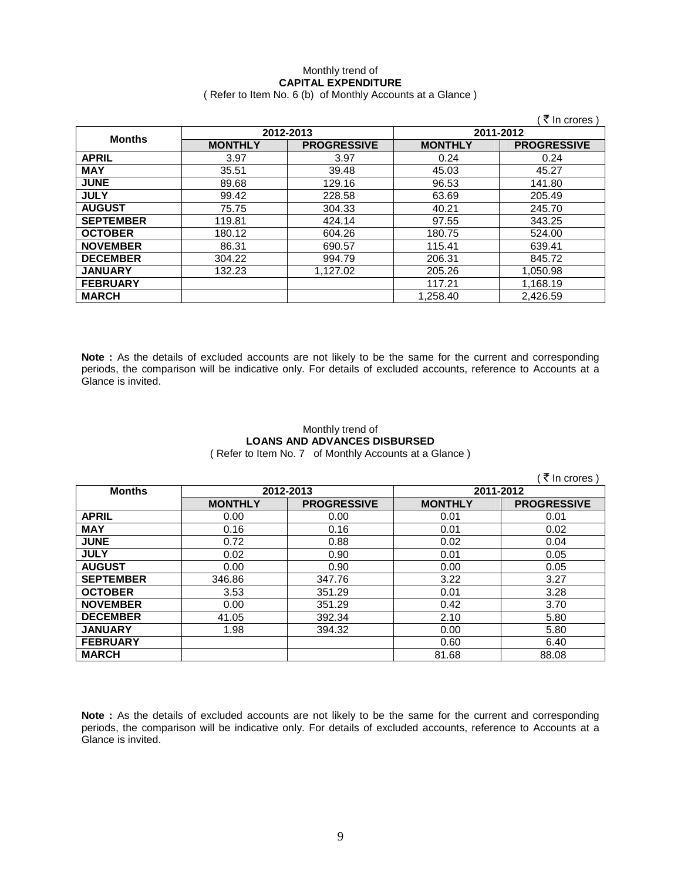### Monthly trend of **CAPITAL EXPENDITURE**  ( Refer to Item No. 6 (b) of Monthly Accounts at a Glance )

|                  |                |                    |                | ₹ In crores)       |
|------------------|----------------|--------------------|----------------|--------------------|
| <b>Months</b>    | 2012-2013      |                    | 2011-2012      |                    |
|                  | <b>MONTHLY</b> | <b>PROGRESSIVE</b> | <b>MONTHLY</b> | <b>PROGRESSIVE</b> |
| <b>APRIL</b>     | 3.97           | 3.97               | 0.24           | 0.24               |
| <b>MAY</b>       | 35.51          | 39.48              | 45.03          | 45.27              |
| <b>JUNE</b>      | 89.68          | 129.16             | 96.53          | 141.80             |
| <b>JULY</b>      | 99.42          | 228.58             | 63.69          | 205.49             |
| <b>AUGUST</b>    | 75.75          | 304.33             | 40.21          | 245.70             |
| <b>SEPTEMBER</b> | 119.81         | 424.14             | 97.55          | 343.25             |
| <b>OCTOBER</b>   | 180.12         | 604.26             | 180.75         | 524.00             |
| <b>NOVEMBER</b>  | 86.31          | 690.57             | 115.41         | 639.41             |
| <b>DECEMBER</b>  | 304.22         | 994.79             | 206.31         | 845.72             |
| <b>JANUARY</b>   | 132.23         | 1.127.02           | 205.26         | 1,050.98           |
| <b>FEBRUARY</b>  |                |                    | 117.21         | 1,168.19           |
| <b>MARCH</b>     |                |                    | 1,258.40       | 2,426.59           |

**Note :** As the details of excluded accounts are not likely to be the same for the current and corresponding periods, the comparison will be indicative only. For details of excluded accounts, reference to Accounts at a Glance is invited.

## Monthly trend of **LOANS AND ADVANCES DISBURSED**

( Refer to Item No. 7 of Monthly Accounts at a Glance )

|                  |                |                    |                | ₹ In crores        |
|------------------|----------------|--------------------|----------------|--------------------|
| <b>Months</b>    | 2012-2013      |                    | 2011-2012      |                    |
|                  | <b>MONTHLY</b> | <b>PROGRESSIVE</b> | <b>MONTHLY</b> | <b>PROGRESSIVE</b> |
| <b>APRIL</b>     | 0.00           | 0.00               | 0.01           | 0.01               |
| <b>MAY</b>       | 0.16           | 0.16               | 0.01           | 0.02               |
| <b>JUNE</b>      | 0.72           | 0.88               | 0.02           | 0.04               |
| <b>JULY</b>      | 0.02           | 0.90               | 0.01           | 0.05               |
| <b>AUGUST</b>    | 0.00           | 0.90               | 0.00           | 0.05               |
| <b>SEPTEMBER</b> | 346.86         | 347.76             | 3.22           | 3.27               |
| <b>OCTOBER</b>   | 3.53           | 351.29             | 0.01           | 3.28               |
| <b>NOVEMBER</b>  | 0.00           | 351.29             | 0.42           | 3.70               |
| <b>DECEMBER</b>  | 41.05          | 392.34             | 2.10           | 5.80               |
| <b>JANUARY</b>   | 1.98           | 394.32             | 0.00           | 5.80               |
| <b>FEBRUARY</b>  |                |                    | 0.60           | 6.40               |
| <b>MARCH</b>     |                |                    | 81.68          | 88.08              |